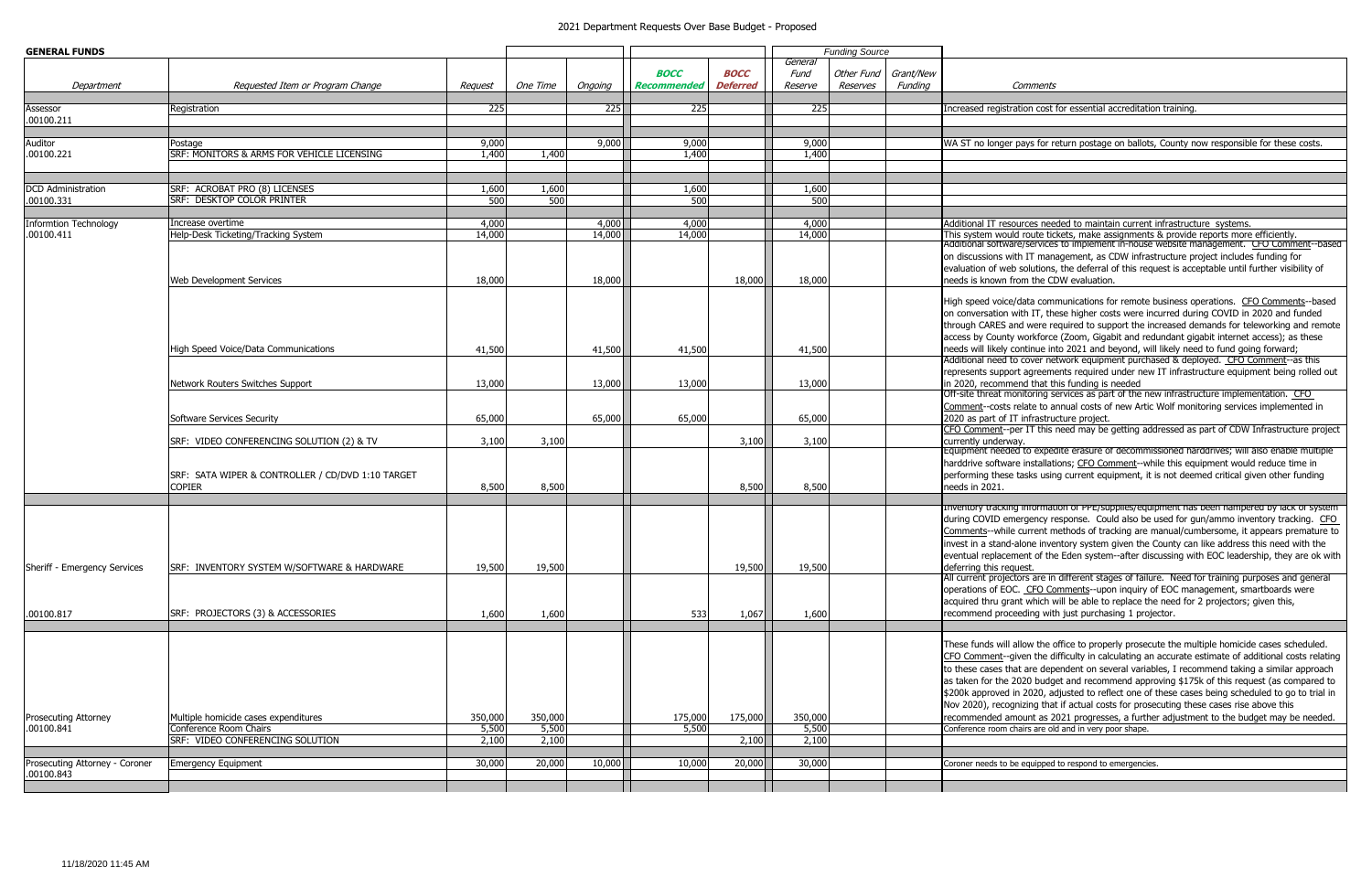| <b>GENERAL FUNDS</b>                         |                                                                                                    | <b>Funding Source</b>     |                           |                  |                                   |                                |                            |                        |                      |                                                                                                                  |
|----------------------------------------------|----------------------------------------------------------------------------------------------------|---------------------------|---------------------------|------------------|-----------------------------------|--------------------------------|----------------------------|------------------------|----------------------|------------------------------------------------------------------------------------------------------------------|
| Department                                   | Requested Item or Program Change                                                                   | Request                   | One Time                  | Ongoing          | <b>BOCC</b><br><b>Recommended</b> | <b>BOCC</b><br><b>Deferred</b> | General<br>Fund<br>Reserve | Other Fund<br>Reserves | Grant/New<br>Funding |                                                                                                                  |
| Assessor<br>.00100.211                       | Registration                                                                                       | 225                       |                           | 225              | 225                               |                                | 225                        |                        |                      | Increased regist                                                                                                 |
| Auditor<br>.00100.221                        | Postage<br>SRF: MONITORS & ARMS FOR VEHICLE LICENSING                                              | 9,000<br>1,400            | 1,400                     | 9,000            | 9,000<br>1,400                    |                                | 9,000<br>1,400             |                        |                      | WA ST no longe                                                                                                   |
| <b>DCD</b> Administration<br>.00100.331      | SRF: ACROBAT PRO (8) LICENSES<br><b>SRF: DESKTOP COLOR PRINTER</b>                                 | 1,600<br>500              | 1,600<br>500              |                  | 1,600<br>500                      |                                | 1,600<br>500               |                        |                      |                                                                                                                  |
| <b>Informtion Technology</b><br>.00100.411   | Increase overtime<br>Help-Desk Ticketing/Tracking System                                           | 4,000<br>14,000           |                           | 4,000<br>14,000  | 4,000<br>14,000                   |                                | 4,000<br>14,000            |                        |                      | <b>Additional IT res</b><br>This system wou<br>Additional softwa<br>on discussions w<br>evaluation of we         |
|                                              | Web Development Services                                                                           | 18,000                    |                           | 18,000           |                                   | 18,000                         | 18,000                     |                        |                      | needs is known<br>High speed voice<br>on conversation<br>through CARES a<br>access by Count                      |
|                                              | High Speed Voice/Data Communications<br>Network Routers Switches Support                           | 41,500<br>13,000          |                           | 41,500<br>13,000 | 41,500<br>13,000                  |                                | 41,500<br>13,000           |                        |                      | needs will likely<br>Additional need<br>represents supp<br>in 2020, recomn<br>Off-site threat m                  |
|                                              | Software Services Security                                                                         | 65,000                    |                           | 65,000           | 65,000                            |                                | 65,000                     |                        |                      | Comment--costs<br>2020 as part of<br>CFO Comment--                                                               |
|                                              | SRF: VIDEO CONFERENCING SOLUTION (2) & TV                                                          | 3,100                     | 3,100                     |                  |                                   | 3,100                          | 3,100                      |                        |                      | currently underv<br>Equipment need<br>harddrive softwa                                                           |
|                                              | SRF: SATA WIPER & CONTROLLER / CD/DVD 1:10 TARGET<br><b>COPIER</b>                                 | 8,500                     | 8,500                     |                  |                                   | 8,500                          | 8,500                      |                        |                      | performing thes<br>needs in 2021.<br><b>Inventory trackii</b>                                                    |
| Sheriff - Emergency Services                 | SRF: INVENTORY SYSTEM W/SOFTWARE & HARDWARE                                                        | 19,500                    | 19,500                    |                  |                                   | 19,500                         | 19,500                     |                        |                      | during COVID er<br>Comments--whil<br>invest in a stand<br>eventual replace<br>deferring this re                  |
| .00100.817                                   | SRF: PROJECTORS (3) & ACCESSORIES                                                                  | 1,600                     | 1,600                     |                  | 533                               | 1,067                          | 1,600                      |                        |                      | All current proje<br>operations of EC<br>acquired thru gr<br>recommend prod                                      |
|                                              |                                                                                                    |                           |                           |                  |                                   |                                |                            |                        |                      | These funds will<br>CFO Comment--<br>to these cases th<br>as taken for the<br>\$200k approved<br>Nov 2020), reco |
| <b>Prosecuting Attorney</b><br>.00100.841    | Multiple homicide cases expenditures<br>Conference Room Chairs<br>SRF: VIDEO CONFERENCING SOLUTION | 350,000<br>5,500<br>2,100 | 350,000<br>5,500<br>2,100 |                  | 175,000<br>5,500                  | 175,000<br>2,100               | 350,000<br>5,500<br>2,100  |                        |                      | recommended a<br>Conference room                                                                                 |
| Prosecuting Attorney - Coroner<br>.00100.843 | <b>Emergency Equipment</b>                                                                         | 30,000                    | 20,000                    | 10,000           | 10,000                            | 20,000                         | 30,000                     |                        |                      | Coroner needs to                                                                                                 |

## 2021 Department Requests Over Base Budget - Proposed

Comments

ration cost for essential accreditation training.

r pays for return postage on ballots, County now responsible for these costs.

sources needed to maintain current infrastructure systems.

.<br>10010 Help-Desk Trackets Tracket System 14,000 in the tickets wore the settem would report system would report rare/services to implement in-house website management. CFO Comment--based with IT management, as CDW infrastructure project includes funding for eb solutions, the deferral of this request is acceptable until further visibility of from the CDW evaluation.

e/data communications for remote business operations. CFO Comments--based with IT, these higher costs were incurred during COVID in 2020 and funded and were required to support the increased demands for teleworking and remote ty workforce (Zoom, Gigabit and redundant gigabit internet access); as these continue into 2021 and beyond, will likely need to fund going forward; to cover network equipment purchased & deployed. CFO Comment--as this ort agreements required under new IT infrastructure equipment being rolled out nend that this funding is needed

onitoring services as part of the new infrastructure implementation. CFO relate to annual costs of new Artic Wolf monitoring services implemented in IT infrastructure project.

per IT this need may be getting addressed as part of CDW Infrastructure project  $\mathsf{v}\mathsf{a}\mathsf{v}$ 

led to expedite erasure of decommissioned harddrives; will also enable multiple are installations; CFO Comment--while this equipment would reduce time in e tasks using current equipment, it is not deemed critical given other funding

Ig information of PPE/supplies/equipment has been hampered by lack of syste mergency response. Could also be used for gun/ammo inventory tracking. CFO le current methods of tracking are manual/cumbersome, it appears premature to I-alone inventory system given the County can like address this need with the ement of the Eden system--after discussing with EOC leadership, they are ok with guest.

ctors are in different stages of failure. Need for training purposes and general OC. CFO Comments--upon inquiry of EOC management, smartboards were rant which will be able to replace the need for 2 projectors; given this, ceeding with just purchasing 1 projector.

I allow the office to properly prosecute the multiple homicide cases scheduled. given the difficulty in calculating an accurate estimate of additional costs relating hat are dependent on several variables, I recommend taking a similar approach 2020 budget and recommend approving \$175k of this request (as compared to in 2020, adjusted to reflect one of these cases being scheduled to go to trial in ognizing that if actual costs for prosecuting these cases rise above this mount as 2021 progresses, a further adjustment to the budget may be needed. chairs are old and in very poor shape.

be equipped to respond to emergencies.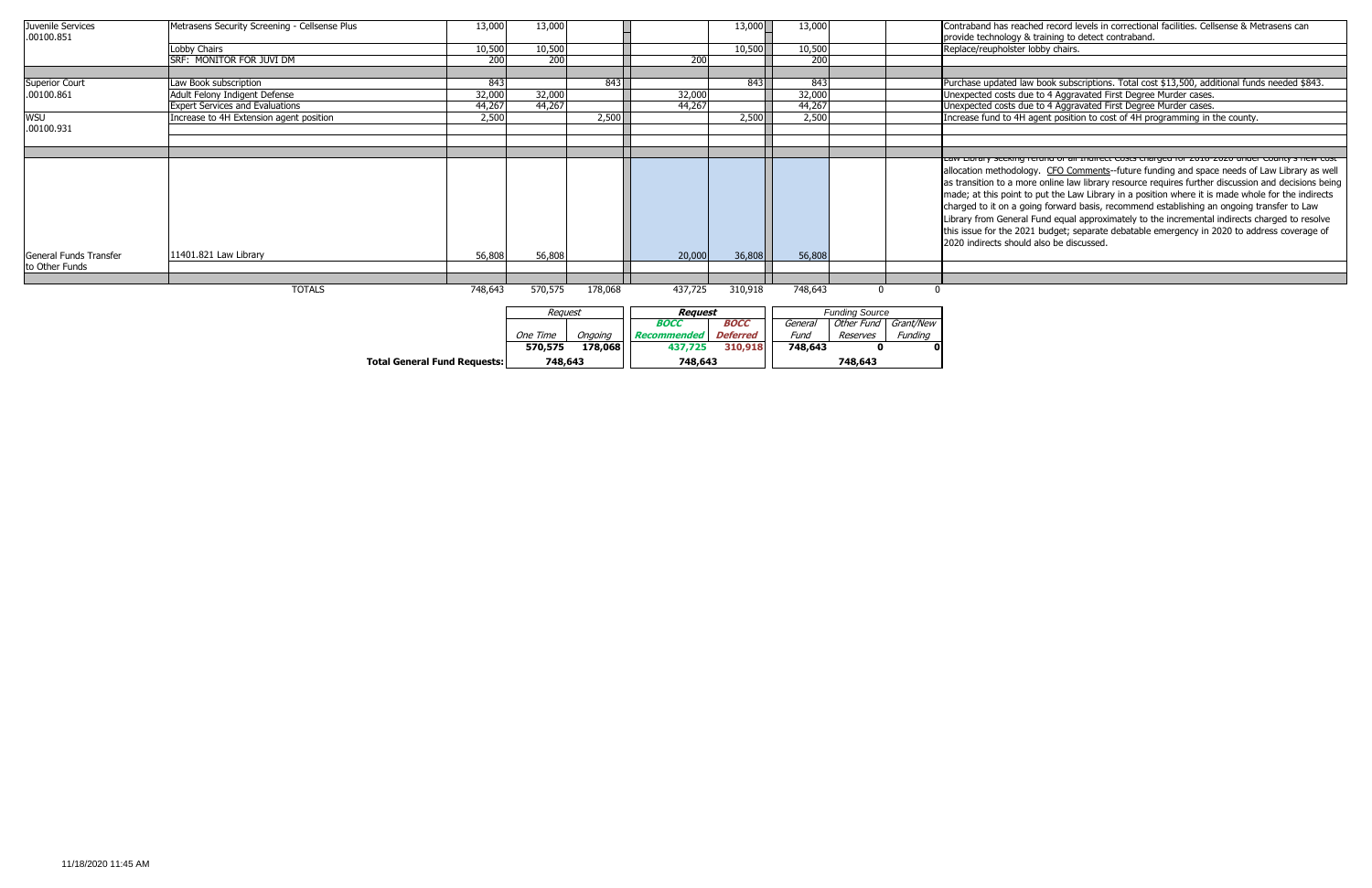Law Library seeking refund of all Indirect Costs charged for 2018-2020 under County's new cost hodology. CFO Comments--future funding and space needs of Law Library as well a more online law library resource requires further discussion and decisions being point to put the Law Library in a position where it is made whole for the indirects n a going forward basis, recommend establishing an ongoing transfer to Law eneral Fund equal approximately to the incremental indirects charged to resolve he 2021 budget; separate debatable emergency in 2020 to address coverage of should also be discussed.

| Juvenile Services<br>.00100.851 | Metrasens Security Screening - Cellsense Plus | 13,000  | 13,000   |         |                                   | 13,000                         | 13,000                |          |                                 | Contraband has reached record le<br>provide technology & training to                                                                                                                                                                                           |
|---------------------------------|-----------------------------------------------|---------|----------|---------|-----------------------------------|--------------------------------|-----------------------|----------|---------------------------------|----------------------------------------------------------------------------------------------------------------------------------------------------------------------------------------------------------------------------------------------------------------|
|                                 | Lobby Chairs                                  | 10,500  | 10,500   |         |                                   | 10,500                         | 10,500                |          |                                 | Replace/reupholster lobby chairs.                                                                                                                                                                                                                              |
|                                 | SRF: MONITOR FOR JUVI DM                      | 200     | 200      |         | 200                               |                                | 200                   |          |                                 |                                                                                                                                                                                                                                                                |
| <b>Superior Court</b>           | Law Book subscription                         | 843     |          | 843     |                                   | 843                            | 843                   |          |                                 | Purchase updated law book subset                                                                                                                                                                                                                               |
| .00100.861                      | Adult Felony Indigent Defense                 | 32,000  | 32,000   |         | 32,000                            |                                | 32,000                |          |                                 | Unexpected costs due to 4 Aggra                                                                                                                                                                                                                                |
|                                 | <b>Expert Services and Evaluations</b>        | 44,267  | 44,267   |         | 44,267                            |                                | 44,267                |          |                                 | Unexpected costs due to 4 Aggra                                                                                                                                                                                                                                |
| <b>WSU</b>                      | Increase to 4H Extension agent position       | 2,500   |          | 2,500   |                                   | 2,500                          | 2,500                 |          |                                 | Increase fund to 4H agent position                                                                                                                                                                                                                             |
| .00100.931                      |                                               |         |          |         |                                   |                                |                       |          |                                 |                                                                                                                                                                                                                                                                |
|                                 |                                               |         |          |         |                                   |                                |                       |          |                                 | Law Library Seeking refund of air                                                                                                                                                                                                                              |
| General Funds Transfer          | 11401.821 Law Library                         | 56,808  | 56,808   |         | 20,000                            | 36,808                         | 56,808                |          |                                 | allocation methodology. CFO Cor<br>as transition to a more online law<br>made; at this point to put the Law<br>charged to it on a going forward<br>Library from General Fund equal<br>this issue for the 2021 budget; se<br>2020 indirects should also be disc |
| to Other Funds                  |                                               |         |          |         |                                   |                                |                       |          |                                 |                                                                                                                                                                                                                                                                |
|                                 | <b>TOTALS</b>                                 | 748,643 | 570,575  | 178,068 | 437,725                           | 310,918                        | 748,643               | $\Omega$ |                                 |                                                                                                                                                                                                                                                                |
|                                 |                                               |         | Request  |         | Request                           |                                | <b>Funding Source</b> |          |                                 |                                                                                                                                                                                                                                                                |
|                                 |                                               |         | One Time | Ongoing | <b>BOCC</b><br><b>Recommended</b> | <b>BOCC</b><br><b>Deferred</b> | General<br>Fund       | Reserves | Other Fund Grant/New<br>Funding |                                                                                                                                                                                                                                                                |
|                                 |                                               |         | 570,575  | 178,068 | 437,725                           | 310,918                        | 748,643               | 0        |                                 |                                                                                                                                                                                                                                                                |

**Total General Fund Requests: 748,643 748,643 748,643**

s reached record levels in correctional facilities. Cellsense & Metrasens can logy & training to detect contraband.<br>olster lobby chairs.

ted law book subscriptions. Total cost \$13,500, additional funds needed \$843. sts due to 4 Aggravated First Degree Murder cases. sts due to 4 Aggravated First Degree Murder cases. to 4H agent position to cost of 4H programming in the county.